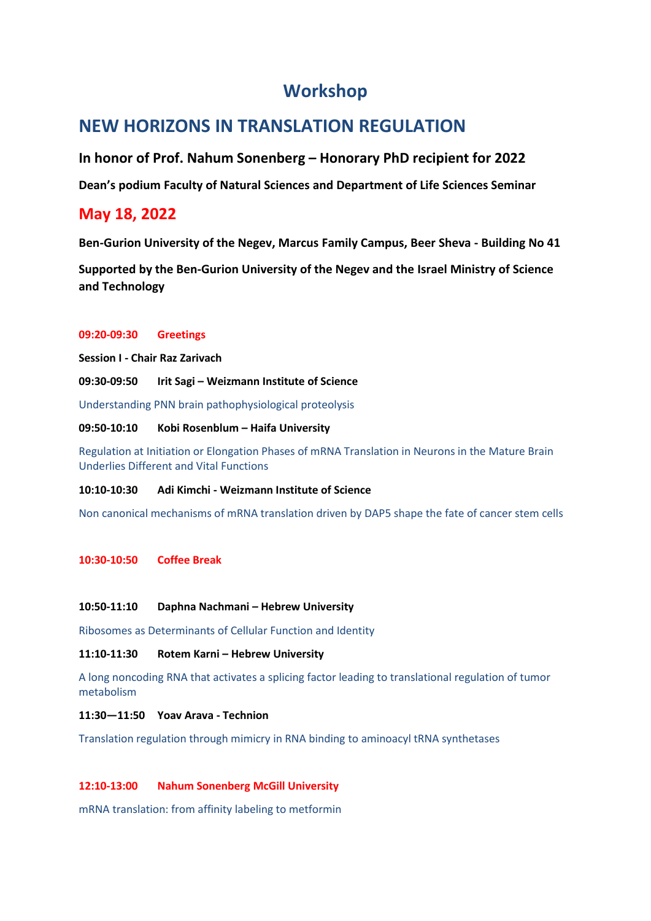# **Workshop**

# **NEW HORIZONS IN TRANSLATION REGULATION**

**In honor of Prof. Nahum Sonenberg – Honorary PhD recipient for 2022**

**Dean's podium Faculty of Natural Sciences and Department of Life Sciences Seminar**

# **May 18, 2022**

**Ben-Gurion University of the Negev, Marcus Family Campus, Beer Sheva - Building No 41**

**Supported by the Ben-Gurion University of the Negev and the Israel Ministry of Science and Technology**

### **09:20-09:30 Greetings**

**Session I - Chair Raz Zarivach**

**09:30-09:50 Irit Sagi – Weizmann Institute of Science**

Understanding PNN brain pathophysiological proteolysis

### **09:50-10:10 Kobi Rosenblum – Haifa University**

Regulation at Initiation or Elongation Phases of mRNA Translation in Neurons in the Mature Brain Underlies Different and Vital Functions

### **10:10-10:30 Adi Kimchi - Weizmann Institute of Science**

Non canonical mechanisms of mRNA translation driven by DAP5 shape the fate of cancer stem cells

### **10:30-10:50 Coffee Break**

### **10:50-11:10 Daphna Nachmani – Hebrew University**

Ribosomes as Determinants of Cellular Function and Identity

### **11:10-11:30 Rotem Karni – Hebrew University**

A long noncoding RNA that activates a splicing factor leading to translational regulation of tumor metabolism

### **11:30—11:50 Yoav Arava - Technion**

Translation regulation through mimicry in RNA binding to aminoacyl tRNA synthetases

## **12:10-13:00 Nahum Sonenberg McGill University**

mRNA translation: from affinity labeling to metformin